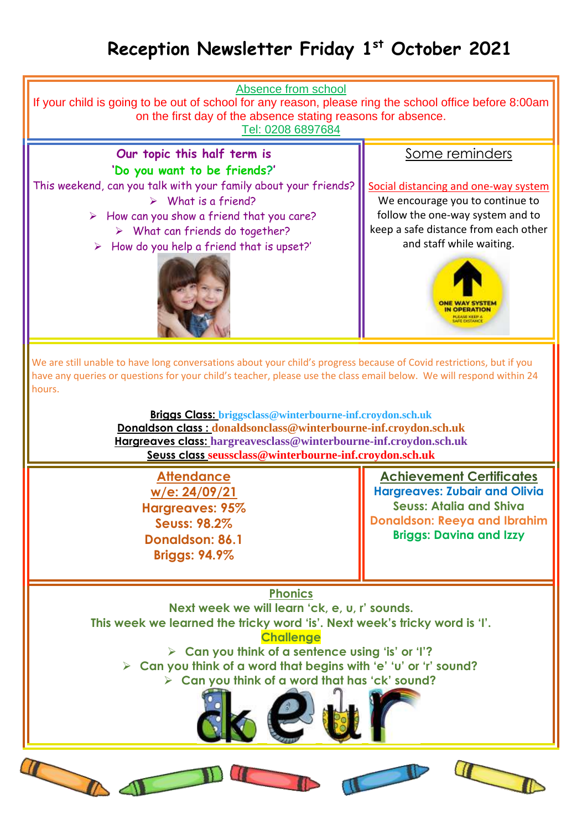## **Reception Newsletter Friday 1 st October 2021**